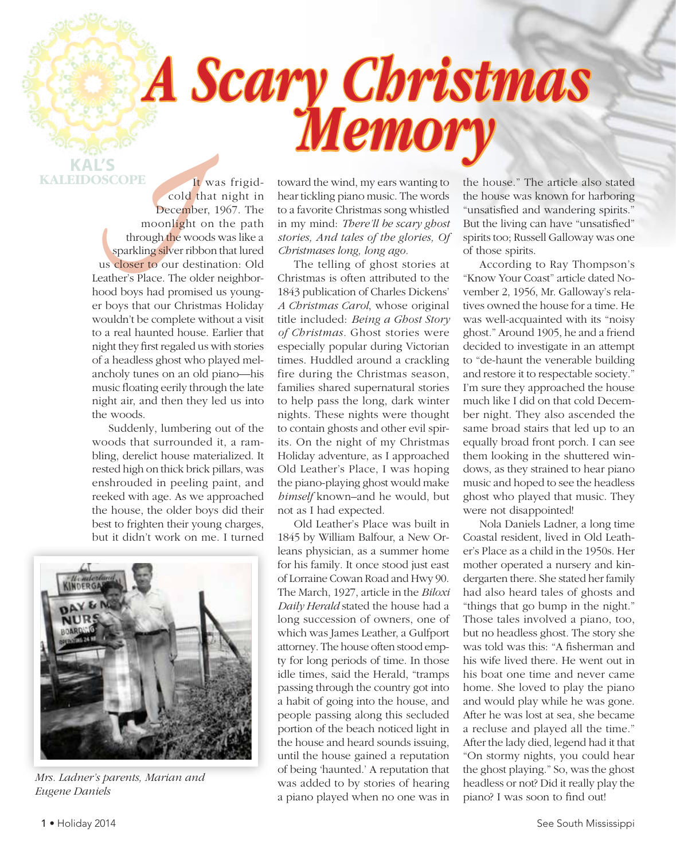## *A Scary Christmas Memory*

**KAL'S KALEIDOSCOPE**

**If** was frigid-<br> **COPE**<br> **COPE**<br> **COPE**<br> **COPE**<br> **COPE**<br> **COPE**<br> **COPE**<br> **COPE**<br> **COPE**<br> **COPE**<br> **COPE**<br> **COPE**<br> **COPE**<br> **COPE**<br> **COPE**<br> **COPEPERE**<br> **COPEPEREE ANDE PRIMEDIATELY<br>
<b>COPEPERE**<br> **COPEPEREE ASPECE ASPECIES**<br> cold that night in December, 1967. The moonlight on the path through the woods was like a sparkling silver ribbon that lured us closer to our destination: Old Leather's Place. The older neighborhood boys had promised us younger boys that our Christmas Holiday wouldn't be complete without a visit to a real haunted house. Earlier that night they first regaled us with stories of a headless ghost who played melancholy tunes on an old piano—his music floating eerily through the late night air, and then they led us into the woods.

Suddenly, lumbering out of the woods that surrounded it, a rambling, derelict house materialized. It rested high on thick brick pillars, was enshrouded in peeling paint, and reeked with age. As we approached the house, the older boys did their best to frighten their young charges, but it didn't work on me. I turned



*Mrs. Ladner's parents, Marian and Eugene Daniels*

toward the wind, my ears wanting to hear tickling piano music. The words to a favorite Christmas song whistled in my mind: *There'll be scary ghost stories, And tales of the glories, Of Christmases long, long ago.*

The telling of ghost stories at Christmas is often attributed to the 1843 publication of Charles Dickens' *A Christmas Carol*, whose original title included: *Being a Ghost Story of Christmas.* Ghost stories were especially popular during Victorian times. Huddled around a crackling fire during the Christmas season, families shared supernatural stories to help pass the long, dark winter nights. These nights were thought to contain ghosts and other evil spirits. On the night of my Christmas Holiday adventure, as I approached Old Leather's Place, I was hoping the piano-playing ghost would make *himself* known–and he would, but not as I had expected.

Old Leather's Place was built in 1845 by William Balfour, a New Orleans physician, as a summer home for his family. It once stood just east of Lorraine Cowan Road and Hwy 90. The March, 1927, article in the *Biloxi Daily Herald* stated the house had a long succession of owners, one of which was James Leather, a Gulfport attorney. The house often stood empty for long periods of time. In those idle times, said the Herald, "tramps passing through the country got into a habit of going into the house, and people passing along this secluded portion of the beach noticed light in the house and heard sounds issuing, until the house gained a reputation of being 'haunted.' A reputation that was added to by stories of hearing a piano played when no one was in the house." The article also stated the house was known for harboring "unsatisfied and wandering spirits." But the living can have "unsatisfied" spirits too; Russell Galloway was one of those spirits.

According to Ray Thompson's "Know Your Coast" article dated November 2, 1956, Mr. Galloway's relatives owned the house for a time. He was well-acquainted with its "noisy ghost." Around 1905, he and a friend decided to investigate in an attempt to "de-haunt the venerable building and restore it to respectable society." I'm sure they approached the house much like I did on that cold December night. They also ascended the same broad stairs that led up to an equally broad front porch. I can see them looking in the shuttered windows, as they strained to hear piano music and hoped to see the headless ghost who played that music. They were not disappointed!

Nola Daniels Ladner, a long time Coastal resident, lived in Old Leather's Place as a child in the 1950s. Her mother operated a nursery and kindergarten there. She stated her family had also heard tales of ghosts and "things that go bump in the night." Those tales involved a piano, too, but no headless ghost. The story she was told was this: "A fisherman and his wife lived there. He went out in his boat one time and never came home. She loved to play the piano and would play while he was gone. After he was lost at sea, she became a recluse and played all the time." After the lady died, legend had it that "On stormy nights, you could hear the ghost playing." So, was the ghost headless or not? Did it really play the piano? I was soon to find out!